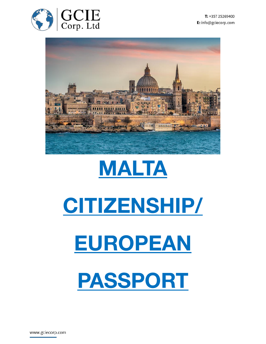



# **MALTA**

# **CITIZENSHIP/**

# **EUROPEAN**

# **PASSPORT**

www.gciecorp.com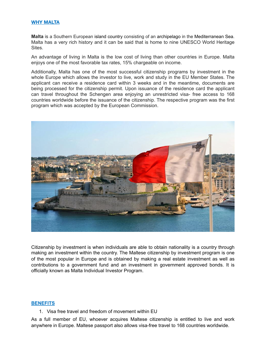### **WHY MALTA**

**Malta** is a Southern European island country consisting of an archipelago in the Mediterranean Sea. Malta has a very rich history and it can be said that is home to nine UNESCO World Heritage Sites.

An advantage of living in Malta is the low cost of living than other countries in Europe. Malta enjoys one of the most favorable tax rates, 15% chargeable on income.

Additionally, Malta has one of the most successful citizenship programs by investment in the whole Europe which allows the investor to live, work and study in the EU Member States. The applicant can receive a residence card within 3 weeks and in the meantime, documents are being processed for the citizenship permit. Upon issuance of the residence card the applicant can travel throughout the Schengen area enjoying an unrestricted visa- free access to 168 countries worldwide before the issuance of the citizenship. The respective program was the first program which was accepted by the European Commission.



Citizenship by investment is when individuals are able to obtain nationality is a country through making an investment within the country. The Maltese citizenship by investment program is one of the most popular in Europe and is obtained by making a real estate investment as well as contributions to a government fund and an investment in government approved bonds. It is officially known as Malta Individual Investor Program.

### **BENEFITS**

1. Visa free travel and freedom of movement within EU

As a full member of EU, whoever acquires Maltese citizenship is entitled to live and work anywhere in Europe. Maltese passport also allows visa-free travel to 168 countries worldwide.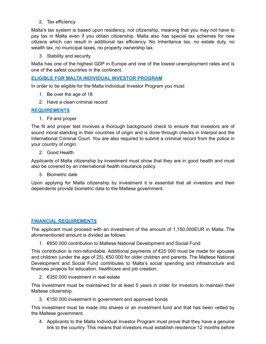2. Tax efficiency

Malta's tax system is based upon residency, not citizenship, meaning that you may not have to pay tax in Malta even if you obtain citizenship. Malta also has special tax schemes for new citizens which can result in additional tax efficiency. No Inheritance tax, no estate duty, no wealth tax, no municipal taxes, no property ownership tax.

3. Stability and security

Malta has one of the highest GDP in Europe and one of the lowest unemployment rates and is one of the safest countries in the continent.

## **ELIGIBLE FOR MALTA INDIVIDUAL INVESTOR PROGRAM**

In order to be eligible for the Malta Individual Investor Program you must:

- 1. Be over the age of 18
- 2. Have a clean criminal record

## **REQUIREMENTS**

1. Fit and proper

The fit and proper test involves a thorough background check to ensure that investors are of sound moral standing in their countries of origin and is done through checks in Interpol and the International Criminal Court. You are also required to submit a criminal record from the police in your country of origin.

2. Good Health

Applicants of Malta citizenship by investment must show that they are in good health and must also be covered by an international health insurance policy.

3. Biometric date

Upon applying for Malta citizenship by investment it is essential that all investors and their dependents provide biometric data to the Maltese government.

## **FINANCIAL REQUIREMENTS**

The applicant must proceed with an investment of the amount of 1,150,000EUR in Malta. The aforementioned amount is divided as follows:

1. €650 000 contribution to Maltese National Development and Social Fund

This contribution is non-refundable. Additional payments of €25 000 must be made for spouses and children (under the age of 25), €50 000 for older children and parents. The Maltese National Development and Social Fund contributes to Malta's social spending and infrastructure and finances projects for education, healthcare and job creation.

2. €350 000 investment in real estate

This investment must be maintained for at least 5 years in order for investors to maintain their Maltese citizenship.

3. €150 000 investment in government and approved bonds

This investment must be made into shares or an investment fund and that has been vetted by the Maltese government.

4. Applicants to the Malta Individual Investor Program must prove that they have a genuine link to the country. This means that investors must establish residence 12 months before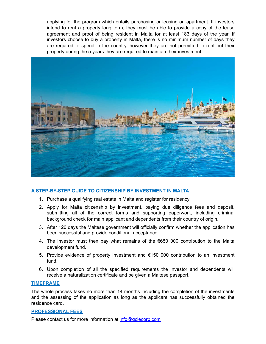applying for the program which entails purchasing or leasing an apartment. If investors intend to rent a property long term, they must be able to provide a copy of the lease agreement and proof of being resident in Malta for at least 183 days of the year. If investors choose to buy a property in Malta, there is no minimum number of days they are required to spend in the country, however they are not permitted to rent out their property during the 5 years they are required to maintain their investment.

![](_page_3_Picture_1.jpeg)

# **A STEP-BY-STEP GUIDE TO CITIZENSHIP BY INVESTMENT IN MALTA**

- 1. Purchase a qualifying real estate in Malta and register for residency
- 2. Apply for Malta citizenship by investment, paying due diligence fees and deposit, submitting all of the correct forms and supporting paperwork, including criminal background check for main applicant and dependents from their country of origin.
- 3. After 120 days the Maltese government will officially confirm whether the application has been successful and provide conditional acceptance.
- 4. The investor must then pay what remains of the €650 000 contribution to the Malta development fund.
- 5. Provide evidence of property investment and €150 000 contribution to an investment fund.
- 6. Upon completion of all the specified requirements the investor and dependents will receive a naturalization certificate and be given a Maltese passport.

### **TIMEFRAME**

The whole process takes no more than 14 months including the completion of the investments and the assessing of the application as long as the applicant has successfully obtained the residence card.

### **PROFESSIONAL FEES**

Please contact us for more information at info@gciecorp.com